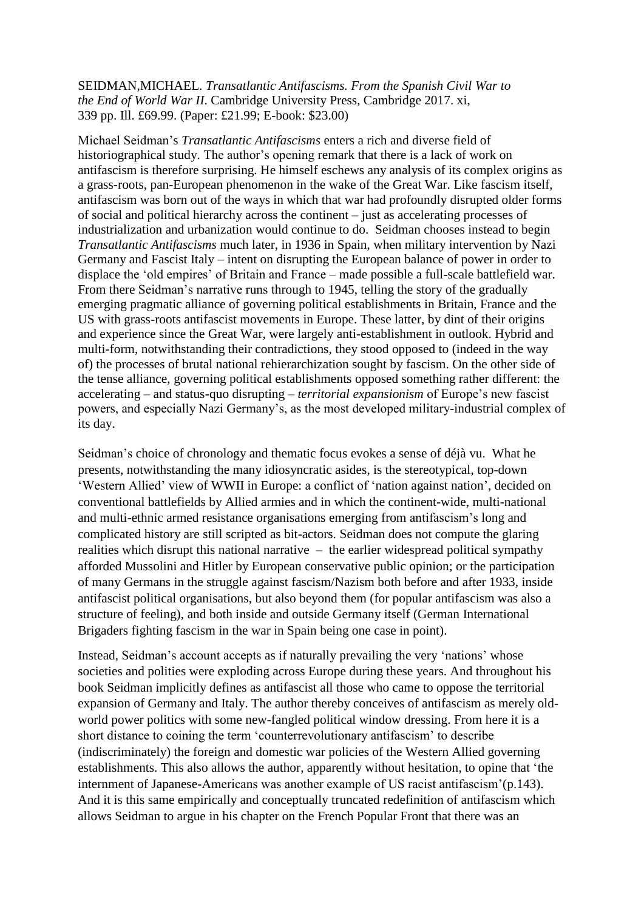SEIDMAN,MICHAEL. *Transatlantic Antifascisms. From the Spanish Civil War to the End of World War II*. Cambridge University Press, Cambridge 2017. xi, 339 pp. Ill. £69.99. (Paper: £21.99; E-book: \$23.00)

Michael Seidman's *Transatlantic Antifascisms* enters a rich and diverse field of historiographical study. The author's opening remark that there is a lack of work on antifascism is therefore surprising. He himself eschews any analysis of its complex origins as a grass-roots, pan-European phenomenon in the wake of the Great War. Like fascism itself, antifascism was born out of the ways in which that war had profoundly disrupted older forms of social and political hierarchy across the continent – just as accelerating processes of industrialization and urbanization would continue to do. Seidman chooses instead to begin *Transatlantic Antifascisms* much later, in 1936 in Spain, when military intervention by Nazi Germany and Fascist Italy – intent on disrupting the European balance of power in order to displace the 'old empires' of Britain and France – made possible a full-scale battlefield war. From there Seidman's narrative runs through to 1945, telling the story of the gradually emerging pragmatic alliance of governing political establishments in Britain, France and the US with grass-roots antifascist movements in Europe. These latter, by dint of their origins and experience since the Great War, were largely anti-establishment in outlook. Hybrid and multi-form, notwithstanding their contradictions, they stood opposed to (indeed in the way of) the processes of brutal national rehierarchization sought by fascism. On the other side of the tense alliance, governing political establishments opposed something rather different: the accelerating – and status-quo disrupting – *territorial expansionism* of Europe's new fascist powers, and especially Nazi Germany's, as the most developed military-industrial complex of its day.

Seidman's choice of chronology and thematic focus evokes a sense of déjà vu.What he presents, notwithstanding the many idiosyncratic asides, is the stereotypical, top-down 'Western Allied' view of WWII in Europe: a conflict of 'nation against nation', decided on conventional battlefields by Allied armies and in which the continent-wide, multi-national and multi-ethnic armed resistance organisations emerging from antifascism's long and complicated history are still scripted as bit-actors. Seidman does not compute the glaring realities which disrupt this national narrative – the earlier widespread political sympathy afforded Mussolini and Hitler by European conservative public opinion; or the participation of many Germans in the struggle against fascism/Nazism both before and after 1933, inside antifascist political organisations, but also beyond them (for popular antifascism was also a structure of feeling), and both inside and outside Germany itself (German International Brigaders fighting fascism in the war in Spain being one case in point).

Instead, Seidman's account accepts as if naturally prevailing the very 'nations' whose societies and polities were exploding across Europe during these years. And throughout his book Seidman implicitly defines as antifascist all those who came to oppose the territorial expansion of Germany and Italy. The author thereby conceives of antifascism as merely oldworld power politics with some new-fangled political window dressing. From here it is a short distance to coining the term 'counterrevolutionary antifascism' to describe (indiscriminately) the foreign and domestic war policies of the Western Allied governing establishments. This also allows the author, apparently without hesitation, to opine that 'the internment of Japanese-Americans was another example of US racist antifascism'(p.143). And it is this same empirically and conceptually truncated redefinition of antifascism which allows Seidman to argue in his chapter on the French Popular Front that there was an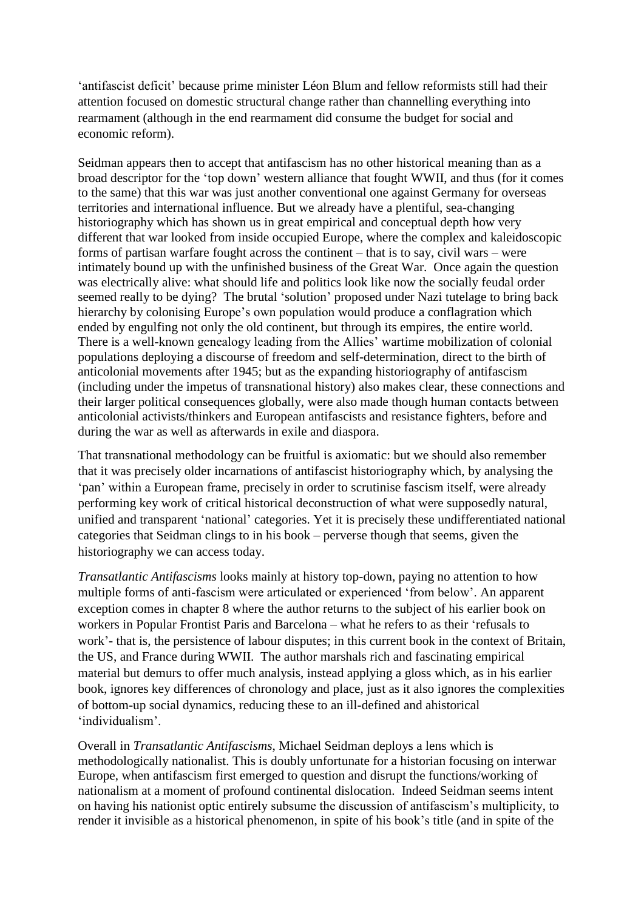'antifascist deficit' because prime minister Léon Blum and fellow reformists still had their attention focused on domestic structural change rather than channelling everything into rearmament (although in the end rearmament did consume the budget for social and economic reform).

Seidman appears then to accept that antifascism has no other historical meaning than as a broad descriptor for the 'top down' western alliance that fought WWII, and thus (for it comes to the same) that this war was just another conventional one against Germany for overseas territories and international influence. But we already have a plentiful, sea-changing historiography which has shown us in great empirical and conceptual depth how very different that war looked from inside occupied Europe, where the complex and kaleidoscopic forms of partisan warfare fought across the continent – that is to say, civil wars – were intimately bound up with the unfinished business of the Great War. Once again the question was electrically alive: what should life and politics look like now the socially feudal order seemed really to be dying? The brutal 'solution' proposed under Nazi tutelage to bring back hierarchy by colonising Europe's own population would produce a conflagration which ended by engulfing not only the old continent, but through its empires, the entire world. There is a well-known genealogy leading from the Allies' wartime mobilization of colonial populations deploying a discourse of freedom and self-determination, direct to the birth of anticolonial movements after 1945; but as the expanding historiography of antifascism (including under the impetus of transnational history) also makes clear, these connections and their larger political consequences globally, were also made though human contacts between anticolonial activists/thinkers and European antifascists and resistance fighters, before and during the war as well as afterwards in exile and diaspora.

That transnational methodology can be fruitful is axiomatic: but we should also remember that it was precisely older incarnations of antifascist historiography which, by analysing the 'pan' within a European frame, precisely in order to scrutinise fascism itself, were already performing key work of critical historical deconstruction of what were supposedly natural, unified and transparent 'national' categories. Yet it is precisely these undifferentiated national categories that Seidman clings to in his book – perverse though that seems, given the historiography we can access today.

*Transatlantic Antifascisms* looks mainly at history top-down, paying no attention to how multiple forms of anti-fascism were articulated or experienced 'from below'. An apparent exception comes in chapter 8 where the author returns to the subject of his earlier book on workers in Popular Frontist Paris and Barcelona – what he refers to as their 'refusals to work'- that is, the persistence of labour disputes; in this current book in the context of Britain, the US, and France during WWII. The author marshals rich and fascinating empirical material but demurs to offer much analysis, instead applying a gloss which, as in his earlier book, ignores key differences of chronology and place, just as it also ignores the complexities of bottom-up social dynamics, reducing these to an ill-defined and ahistorical 'individualism'.

Overall in *Transatlantic Antifascisms*, Michael Seidman deploys a lens which is methodologically nationalist. This is doubly unfortunate for a historian focusing on interwar Europe, when antifascism first emerged to question and disrupt the functions/working of nationalism at a moment of profound continental dislocation. Indeed Seidman seems intent on having his nationist optic entirely subsume the discussion of antifascism's multiplicity, to render it invisible as a historical phenomenon, in spite of his book's title (and in spite of the